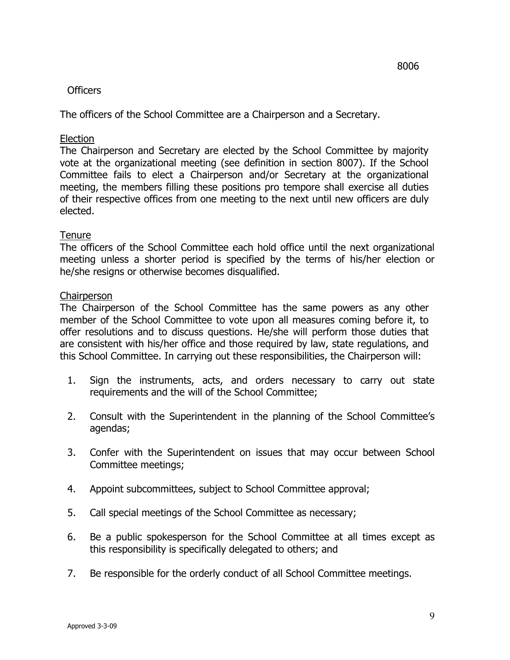#### **Officers**

The officers of the School Committee are a Chairperson and a Secretary.

### Election

 The Chairperson and Secretary are elected by the School Committee by majority vote at the organizational meeting (see definition in section 8007). If the School Committee fails to elect a Chairperson and/or Secretary at the organizational meeting, the members filling these positions pro tempore shall exercise all duties of their respective offices from one meeting to the next until new officers are duly elected.

# **Tenure**

 The officers of the School Committee each hold office until the next organizational meeting unless a shorter period is specified by the terms of his/her election or he/she resigns or otherwise becomes disqualified.

#### **Chairperson**

 The Chairperson of the School Committee has the same powers as any other member of the School Committee to vote upon all measures coming before it, to offer resolutions and to discuss questions. He/she will perform those duties that are consistent with his/her office and those required by law, state regulations, and this School Committee. In carrying out these responsibilities, the Chairperson will:

- 1. Sign the instruments, acts, and orders necessary to carry out state requirements and the will of the School Committee;
- 2. Consult with the Superintendent in the planning of the School Committee's agendas;
- 3. Confer with the Superintendent on issues that may occur between School Committee meetings;
- 4. Appoint subcommittees, subject to School Committee approval;
- 5. Call special meetings of the School Committee as necessary;
- 6. Be a public spokesperson for the School Committee at all times except as this responsibility is specifically delegated to others; and
- 7. Be responsible for the orderly conduct of all School Committee meetings.